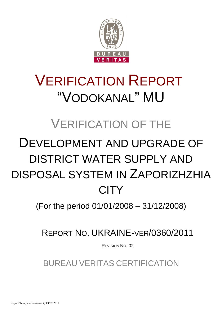

# VERIFICATION REPORT "VODOKANAL" MU

# VERIFICATION OF THE

# DEVELOPMENT AND UPGRADE OF DISTRICT WATER SUPPLY AND DISPOSAL SYSTEM IN ZAPORIZHZHIA **CITY**

(For the period 01/01/2008 – 31/12/2008)

REPORT NO. UKRAINE-VER/0360/2011

REVISION NO. 02

BUREAU VERITAS CERTIFICATION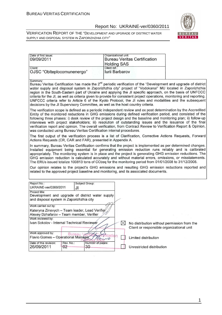#### Report No: UKRAINE-ver/0360/2011



| Date of first issue:                                                                                           |                     |                        | Organizational unit:                  |                                                                                                        |                                                                                                                                                                                                                                                                                                                                                                                                                                                                                                                                                                                            |
|----------------------------------------------------------------------------------------------------------------|---------------------|------------------------|---------------------------------------|--------------------------------------------------------------------------------------------------------|--------------------------------------------------------------------------------------------------------------------------------------------------------------------------------------------------------------------------------------------------------------------------------------------------------------------------------------------------------------------------------------------------------------------------------------------------------------------------------------------------------------------------------------------------------------------------------------------|
| 09/09/2011                                                                                                     |                     |                        |                                       | <b>Bureau Veritas Certification</b>                                                                    |                                                                                                                                                                                                                                                                                                                                                                                                                                                                                                                                                                                            |
|                                                                                                                |                     |                        | <b>Holding SAS</b>                    |                                                                                                        |                                                                                                                                                                                                                                                                                                                                                                                                                                                                                                                                                                                            |
| Client:<br>OJSC "Oblteplocomunenergo"                                                                          |                     |                        | Client ref.:<br><b>Iurii Barbarov</b> |                                                                                                        |                                                                                                                                                                                                                                                                                                                                                                                                                                                                                                                                                                                            |
|                                                                                                                |                     |                        |                                       |                                                                                                        |                                                                                                                                                                                                                                                                                                                                                                                                                                                                                                                                                                                            |
| Summary:                                                                                                       |                     |                        |                                       |                                                                                                        |                                                                                                                                                                                                                                                                                                                                                                                                                                                                                                                                                                                            |
| decisions by the JI Supervisory Committee, as well as the host country criteria.                               |                     |                        |                                       |                                                                                                        | Bureau Veritas Certification has made the 2 <sup>nd</sup> periodic verification of the "Development and upgrade of district<br>water supply and disposal system in Zaporizhzhia city" project of "Vodokanal" MU located in Zaporizhzhia<br>region in the South-Eastern part of Ukraine and applying the JI specific approach, on the basis of UNFCCC<br>criteria for the JI, as well as criteria given to provide for consistent project operations, monitoring and reporting.<br>UNFCCC criteria refer to Article 6 of the Kyoto Protocol, the JI rules and modalities and the subsequent |
| was conducted using Bureau Veritas Certification internal procedures.                                          |                     |                        |                                       |                                                                                                        | The verification scope is defined as a periodic independent review and ex post determination by the Accredited<br>Entity of the monitored reductions in GHG emissions during defined verification period, and consisted of the<br>following three phases: i) desk review of the project design and the baseline and monitoring plan; ii) follow-up<br>interviews with project stakeholders; iii) resolution of outstanding issues and the issuance of the final<br>verification report and opinion. The overall verification, from Contract Review to Verification Report & Opinion,       |
| Actions Requests (CR, CAR and FAR), presented in Appendix A.                                                   |                     |                        |                                       |                                                                                                        | The first output of the verification process is a list of Clarification, Corrective Actions Requests, Forward                                                                                                                                                                                                                                                                                                                                                                                                                                                                              |
|                                                                                                                |                     |                        |                                       | The ERUs issued totalize 100813 tons of CO2eq for the monitoring period from 01/01/2008 to 31/12/2008. | In summary, Bureau Veritas Certification confirms that the project is implemented as per determined changes.<br>Installed equipment being essential for generating emission reduction runs reliably and is calibrated<br>appropriately. The monitoring system is in place and the project is generating GHG emission reductions. The<br>GHG emission reduction is calculated accurately and without material errors, omissions, or misstatements.                                                                                                                                          |
|                                                                                                                |                     |                        |                                       | related to the approved project baseline and monitoring, and its associated documents.                 | Our opinion relates to the project's GHG emissions and resulting GHG emission reductions reported and                                                                                                                                                                                                                                                                                                                                                                                                                                                                                      |
| Report No.:                                                                                                    |                     | Subject Group:         |                                       |                                                                                                        |                                                                                                                                                                                                                                                                                                                                                                                                                                                                                                                                                                                            |
| UKRAINE-ver/0360/2011                                                                                          | JI                  |                        |                                       |                                                                                                        |                                                                                                                                                                                                                                                                                                                                                                                                                                                                                                                                                                                            |
| Project title:<br>Development and upgrade of district water supply<br>and disposal system in Zaporizhzhia city |                     |                        |                                       |                                                                                                        |                                                                                                                                                                                                                                                                                                                                                                                                                                                                                                                                                                                            |
| Work carried out by:                                                                                           |                     |                        |                                       |                                                                                                        |                                                                                                                                                                                                                                                                                                                                                                                                                                                                                                                                                                                            |
| Kateryna Zinevych - Team leader, Lead Verifier<br>Alexey Dzhafarov - Team member, Verifier                     |                     |                        |                                       |                                                                                                        |                                                                                                                                                                                                                                                                                                                                                                                                                                                                                                                                                                                            |
| Work reviewed by:                                                                                              |                     |                        |                                       |                                                                                                        |                                                                                                                                                                                                                                                                                                                                                                                                                                                                                                                                                                                            |
| Ivan Sokolov - Internal Technical Reviewer                                                                     |                     |                        | $\boxtimes$                           | No distribution without permission from the<br>Client or responsible organizational unit               |                                                                                                                                                                                                                                                                                                                                                                                                                                                                                                                                                                                            |
| Work approved by:                                                                                              |                     |                        |                                       |                                                                                                        |                                                                                                                                                                                                                                                                                                                                                                                                                                                                                                                                                                                            |
| Flavio Gomes - Operational Manager                                                                             | Bureau              | $\sqrt{a}$             | <b>\ification</b><br>←∕ <i>co</i>     | Limited distribution                                                                                   |                                                                                                                                                                                                                                                                                                                                                                                                                                                                                                                                                                                            |
| Date of this revision:<br>26/09/2011                                                                           | Rev. No.:<br>$02 -$ | Number of pages:<br>30 |                                       | Unrestricted distribution                                                                              |                                                                                                                                                                                                                                                                                                                                                                                                                                                                                                                                                                                            |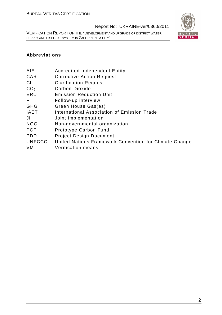VERIFICATION REPORT OF THE "DEVELOPMENT AND UPGRADE OF DISTRICT WATER SUPPLY AND DISPOSAL SYSTEM IN ZAPORIZHZHIA CITY"



# **Abbreviations**

- AIE Accredited Independent Entity
- CAR Corrective Action Request
- CL Clarification Request
- CO<sub>2</sub> Carbon Dioxide
- ERU Emission Reduction Unit
- FI Follow-up interview
- GHG Green House Gas(es)
- IAET International Association of Emission Trade
- JI Joint Implementation
- NGO Non-governmental organization
- PCF Prototype Carbon Fund
- PDD Project Design Document
- UNFCCC United Nations Framework Convention for Climate Change
- VM Verification means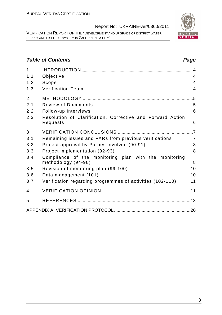VERIFICATION REPORT OF THE "DEVELOPMENT AND UPGRADE OF DISTRICT WATER SUPPLY AND DISPOSAL SYSTEM IN ZAPORIZHZHIA CITY"

# **Table of Contents Page 2014**

| $\mathbf{1}$   |                                                                              |                |
|----------------|------------------------------------------------------------------------------|----------------|
| 1.1            | Objective                                                                    | $\overline{4}$ |
| 1.2            | Scope                                                                        | $\overline{4}$ |
| 1.3            | <b>Verification Team</b>                                                     | $\overline{4}$ |
| $\overline{2}$ |                                                                              | $.5\,$         |
| 2.1            | <b>Review of Documents</b>                                                   | 5              |
| 2.2            | Follow-up Interviews                                                         | 6              |
| 2.3            | Resolution of Clarification, Corrective and Forward Action<br>Requests       | 6              |
| 3              |                                                                              |                |
| 3.1            | Remaining issues and FARs from previous verifications                        | $\overline{7}$ |
| 3.2            | Project approval by Parties involved (90-91)                                 | 8              |
| 3.3            | Project implementation (92-93)                                               | 8              |
| 3.4            | Compliance of the monitoring plan with the monitoring<br>methodology (94-98) | 8              |
| 3.5            | Revision of monitoring plan (99-100)                                         | 10             |
| 3.6            | Data management (101)                                                        | 10             |
| 3.7            | Verification regarding programmes of activities (102-110)                    | 11             |
| 4              |                                                                              |                |
| 5              |                                                                              |                |
|                |                                                                              |                |

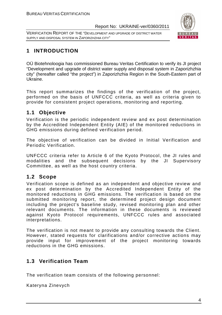VERIFICATION REPORT OF THE "DEVELOPMENT AND UPGRADE OF DISTRICT WATER SUPPLY AND DISPOSAL SYSTEM IN ZAPORIZHZHIA CITY"



# **1 INTRODUCTION**

OÜ Biotehnoloogia has commissioned Bureau Veritas Certification to verify its JI project "Development and upgrade of district water supply and disposal system in Zaporizhzhia city" (hereafter called "the project") in Zaporizhzhia Region in the South-Eastern part of Ukraine.

This report summarizes the findings of the verification of the project, performed on the basis of UNFCCC criteria, as well as criteria given to provide for consistent project operations, monitoring and reporting.

# **1.1 Objective**

Verification is the periodic independent review and ex post determination by the Accredited Independent Entity (AIE) of the monitored reductions in GHG emissions during defined verification period.

The objective of verification can be divided in Initial Verification and Periodic Verification.

UNFCCC criteria refer to Article 6 of the Kyoto Protocol, the JI rules and modalities and the subsequent decisions by the JI Supervisory Committee, as well as the host country criteria.

# **1.2 Scope**

Verification scope is defined as an independent and objective review and ex post determination by the Accredited Independent Entity of the monitored reductions in GHG emissions. The verification is based on the submitted monitoring report, the determined project design document including the project's baseline study, revised monitoring plan and other relevant documents. The information in these documents is reviewed against Kyoto Protocol requirements, UNFCCC rules and associated interpretations.

The verification is not meant to provide any consulting towards the Client. However, stated requests for clarifications and/or corrective actions may provide input for improvement of the project monitoring towards reductions in the GHG emissions.

# **1.3 Verification Team**

The verification team consists of the following personnel:

Kateryna Zinevych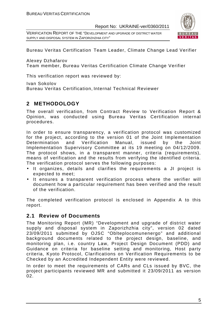VERIFICATION REPORT OF THE "DEVELOPMENT AND UPGRADE OF DISTRICT WATER SUPPLY AND DISPOSAL SYSTEM IN ZAPORIZHZHIA CITY"



Bureau Veritas Certification Team Leader, Climate Change Lead Verifier

Alexey Dzhafarov

Team member, Bureau Veritas Certification Climate Change Verifier

This verification report was reviewed by:

Ivan Sokolov

Bureau Veritas Certification, Internal Technical Reviewer

# **2 METHODOLOGY**

The overall verification, from Contract Review to Verification Report & Opinion, was conducted using Bureau Veritas Certification internal procedures.

In order to ensure transparency, a verification protocol was customized for the project, according to the version 01 of the Joint Implementation Determination and Verification Manual, issued by the Joint Implementation Supervisory Committee at its 19 meeting on 04/12/2009. The protocol shows, in a transparent manner, criteria (requirements), means of verification and the results from verifying the identified criteria. The verification protocol serves the following purposes:

- It organizes, details and clarifies the requirements a JI project is expected to meet;
- It ensures a transparent verification process where the verifier will document how a particular requirement has been verified and the result of the verification.

The completed verification protocol is enclosed in Appendix A to this report.

# **2.1 Review of Documents**

The Monitoring Report (MR) "Development and upgrade of district water supply and disposal system in Zaporizhzhia city", version 02 dated 23/09/2011 submitted by OJSC "Oblteplocomunenergo" and additional background documents related to the project design, baseline, and monitoring plan, i.e. country Law, Project Design Document (PDD) and Guidance on criteria for baseline setting and monitoring, Host party criteria, Kyoto Protocol, Clarifications on Verification Requirements to be Checked by an Accredited Independent Entity were reviewed.

In order to meet the requirements of CARs and CLs issued by BVC, the project participants reviewed MR and submitted it 23/09/2011 as version 02.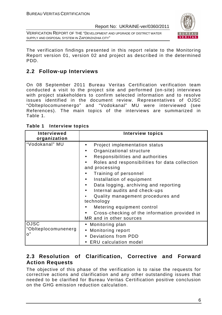VERIFICATION REPORT OF THE "DEVELOPMENT AND UPGRADE OF DISTRICT WATER SUPPLY AND DISPOSAL SYSTEM IN ZAPORIZHZHIA CITY"



The verification findings presented in this report relate to the Monitoring Report version 01, version 02 and project as described in the determined PDD.

# **2.2 Follow-up Interviews**

On 08 September 2011 Bureau Veritas Certification verification team conducted a visit to the project site and performed (on-site) interviews with project stakeholders to confirm selected information and to resolve issues identified in the document review. Representatives of OJSC "Oblteplocomunenergo" and "Vodokanal" MU were interviewed (see References). The main topics of the interviews are summarized in Table 1.

| Interviewed<br>organization              | <b>Interview topics</b>                                                                                                                                                                                                                                                                                                                                                                                                                                                     |
|------------------------------------------|-----------------------------------------------------------------------------------------------------------------------------------------------------------------------------------------------------------------------------------------------------------------------------------------------------------------------------------------------------------------------------------------------------------------------------------------------------------------------------|
| "Vodokanal" MU                           | Project implementation status<br>Organizational structure<br>Responsibilities and authorities<br>Roles and responsibilities for data collection<br>and processing<br>Training of personnel<br>Installation of equipment<br>$\bullet$<br>Data logging, archiving and reporting<br>Internal audits and check-ups<br>Quality management procedures and<br>technology<br>Metering equipment control<br>Cross-checking of the information provided in<br>MR and in other sources |
| <b>OJSC</b><br>"Oblteplocomunenerg<br>o" | • Monitoring plan<br>• Monitoring report<br>• Deviations from PDD<br><b>ERU</b> calculation model                                                                                                                                                                                                                                                                                                                                                                           |

| Table 1 | <b>Interview topics</b> |  |
|---------|-------------------------|--|
|---------|-------------------------|--|

# **2.3 Resolution of Clarification, Corrective and Forward Action Requests**

The objective of this phase of the verification is to raise the requests for corrective actions and clarification and any other outstanding issues that needed to be clarified for Bureau Veritas Certification positive conclusion on the GHG emission reduction calculation.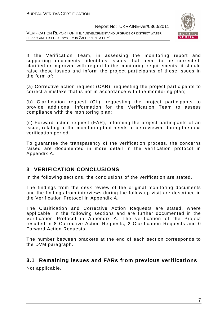VERIFICATION REPORT OF THE "DEVELOPMENT AND UPGRADE OF DISTRICT WATER SUPPLY AND DISPOSAL SYSTEM IN ZAPORIZHZHIA CITY"



If the Verification Team, in assessing the monitoring report and supporting documents, identifies issues that need to be corrected, clarified or improved with regard to the monitoring requirements, it should raise these issues and inform the project participants of these issues in the form of:

(a) Corrective action request (CAR), requesting the project participants to correct a mistake that is not in accordance with the monitoring plan;

(b) Clarification request (CL), requesting the project participants to provide additional information for the Verification Team to assess compliance with the monitoring plan;

(c) Forward action request (FAR), informing the project participants of an issue, relating to the monitoring that needs to be reviewed during the next verification period.

To guarantee the transparency of the verification process, the concerns raised are documented in more detail in the verification protocol in Appendix A.

# **3 VERIFICATION CONCLUSIONS**

In the following sections, the conclusions of the verification are stated.

The findings from the desk review of the original monitoring documents and the findings from interviews during the follow up visit are described in the Verification Protocol in Appendix A.

The Clarification and Corrective Action Requests are stated, where applicable, in the following sections and are further documented in the Verification Protocol in Appendix A. The verification of the Project resulted in 8 Corrective Action Requests, 2 Clarification Requests and 0 Forward Action Requests.

The number between brackets at the end of each section corresponds to the DVM paragraph.

## **3.1 Remaining issues and FARs from previous verifications**

Not applicable.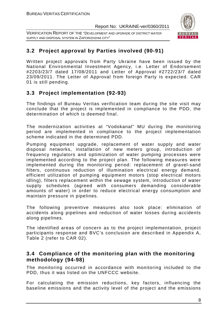VERIFICATION REPORT OF THE "DEVELOPMENT AND UPGRADE OF DISTRICT WATER SUPPLY AND DISPOSAL SYSTEM IN ZAPORIZHZHIA CITY"



# **3.2 Project approval by Parties involved (90-91)**

Written project approvals from Party Ukraine have been issued by the National Environmental Investment Agency, i.e. Letter of Endorsement #2203/23/7 dated 17/08/2011 and Letter of Approval #2722/23/7 dated 23/09/2011. The Letter of Approval from foreign Party is expected. CAR 01 is still pending.

# **3.3 Project implementation (92-93)**

The findings of Bureau Veritas verification team during the site visit may conclude that the project is implemented in compliance to the PDD, the determination of which is deemed final.

The modernization activities at "Vodokanal" MU during the monitoring period are implemented in compliance to the project implementation scheme indicated in the determined PDD.

Pumping equipment upgrade, replacement of water supply and water disposal networks, installation of new meters group, introduction of frequency regulators and optimization of water pumping processes were implemented according to the project plan. The following measures were implemented during the monitoring period: replacement of gravel-sand filters, continuous reduction of illumination electrical energy demand, efficient utilization of pumping equipment motors (stop electrical motors idling), filters replacement within the sewage system, introduction of water supply schedules (agreed with consumers demanding considerable amounts of water) in order to reduce electrical energy consumption and maintain pressure in pipelines.

The following preventive measures also took place: elimination of accidents along pipelines and reduction of water losses during accidents along pipelines.

The identified areas of concern as to the project implementation, project participants response and BVC's conclusion are described in Appendix A, Table 2 (refer to CAR 02).

# **3.4 Compliance of the monitoring plan with the monitoring methodology (94-98)**

The monitoring occurred in accordance with monitoring included to the PDD, thus it was listed on the UNFCCC website.

For calculating the emission reductions, key factors, influencing the baseline emissions and the activity level of the project and the emissions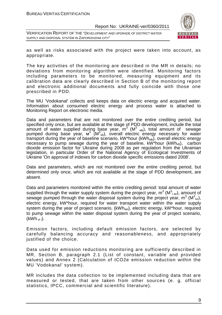VERIFICATION REPORT OF THE "DEVELOPMENT AND UPGRADE OF DISTRICT WATER SUPPLY AND DISPOSAL SYSTEM IN ZAPORIZHZHIA CITY"



as well as risks associated with the project were taken into account, as appropriate.

The key activities of the monitoring are described in the MR in details; no deviations from monitoring algorithm were identified. Monitoring factors including parameters to be monitored, measuring equipment and its calibration data are clearly described in Section B of the monitoring report and electronic additional documents and fully coincide with those one prescribed in PDD.

The MU 'Vodokanal' collects and keeps data on electric energy and acquired water. Information about consumed electric energy and process water is attached to Monitoring Report on electronic media.

Data and parameters that are not monitored over the entire crediting period, but specified only once, but are available at the stage of PDD development, include the total amount of water supplied during base year,  $m^3$  (M<sup>3</sup> <sub>wb</sub>), total amount of sewage pumped during base year, м<sup>3</sup> (M<sup>3</sup><sub>vb</sub>), overall electric energy necessary for water transport during the year of baseline scenario, kW\*hour (kWh<sub>wb</sub>), overall electric energy necessary to pump sewage during the year of baseline,  $kW^*$ hour  $(kWh_{vb})$ , carbon dioxide emission factor for Ukraine during 2008 as per regulation from the Ukrainian legislation, in particular Order of the National Agency of Ecological Investments of Ukraine 'On approval of indexes for carbon dioxide specific emissions dated 2008'.

Data and parameters, which are not monitored over the entire crediting period, but determined only once, which are not available at the stage of PDD development, are absent.

Data and parameters monitored within the entire crediting period: total amount of water supplied through the water supply system during the project year,  $m^3$  (M $^3$ <sub>i wr</sub>), amount of sewage pumped through the water disposal system during the project year,  $m^3$  (M $^3$ <sub>ivr</sub>), electric energy, kW\*hour, required for water transport water within the water supply system during the year of project scenario, (kWh<sub>wri</sub>), electric energy, kW\*hour, required to pump sewage within the water disposal system during the year of project scenario,  $(kWh<sub>vr i</sub>)$ .

Emission factors, including default emission factors, are selected by carefully balancing accuracy and reasonableness, and appropriately justified of the choice.

Data used for emission reductions monitoring are sufficiently described in MR, Section B, paragraph 2.1 (List of constant, variable and provided values) and Annex 2 (Calculation of tCO2e emission reduction within the MU 'Vodokanal' system).

MR includes the data collection to be implemented including data that are measured or tested, that are taken from other sources (e. g. official statistics, IPCC, commercial and scientific literature).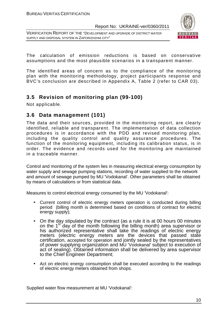VERIFICATION REPORT OF THE "DEVELOPMENT AND UPGRADE OF DISTRICT WATER SUPPLY AND DISPOSAL SYSTEM IN ZAPORIZHZHIA CITY"



The calculation of emission reductions is based on conservative assumptions and the most plausible scenarios in a transparent manner.

The identified areas of concern as to the compliance of the monitoring plan with the monitoring methodology, project participants response and BVC's conclusion are described in Appendix A, Table 2 (refer to CAR 03).

# **3.5 Revision of monitoring plan (99-100)**

Not applicable.

# **3.6 Data management (101)**

The data and their sources, provided in the monitoring report, are clearly identified, reliable and transparent. The implementation of data collection procedures is in accordance with the PDD and revised monitoring plan, including the quality control and quality assurance procedures. The function of the monitoring equipment, including its calibration status, is in order. The evidence and records used for the monitoring are maintained in a traceable manner.

Control and monitoring of the system lies in measuring electrical energy consumption by water supply and sewage pumping stations, recording of water supplied to the network and amount of sewage pumped by MU 'Vodokanal'. Other parameters shall be obtained by means of calculations or from statistical data.

Measures to control electrical energy consumed by the MU 'Vodokanal':

- Current control of electric energy meters operation is conducted during billing period (billing month is determined based on conditions of contract for electric energy supply);
- On the day stipulated by the contract (as a rule it is at 00 hours 00 minutes on the  $1<sup>st</sup>$  day of the month following the billing month) area supervisor or his authorized representative shall take the readings of electric energy meters (electric energy meters are the devices that passed state certification, accepted for operation and jointly sealed by the representatives of power supplying organization and MU 'Vodokanal' subject to execution of act of sealing). Obtained information shall be delivered by area supervisor to the Chief Engineer Department;
- Act on electric energy consumption shall be executed according to the readings of electric energy meters obtained from shops.

Supplied water flow measurement at MU 'Vodokanal':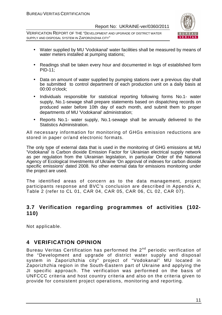VERIFICATION REPORT OF THE "DEVELOPMENT AND UPGRADE OF DISTRICT WATER SUPPLY AND DISPOSAL SYSTEM IN ZAPORIZHZHIA CITY"



- Water supplied by MU 'Vodokanal' water facilities shall be measured by means of water meters installed at pumping stations;
- Readings shall be taken every hour and documented in logs of established form PID-11;
- Data on amount of water supplied by pumping stations over a previous day shall be submitted to control department of each production unit on a daily basis at 00:00 o'clock;
- Individuals responsible for statistical reporting following forms No.1- water supply, No.1-sewage shall prepare statements based on dispatching records on produced water before 10th day of each month, and submit them to proper departments of MU 'Vodokanal' administration;
- Reports No.1- water supply, No.1-sewage shall be annually delivered to the Statistics Administration.

All necessary information for monitoring of GHGs emission reductions are stored in paper or/and electronic formats.

The only type of external data that is used in the monitoring of GHG emissions at MU 'Vodokanal' is Carbon dioxide Emission Factor for Ukrainian electrical supply network as per regulation from the Ukrainian legislation, in particular Order of the National Agency of Ecological Investments of Ukraine 'On approval of indexes for carbon dioxide specific emissions' dated 2008. No other external data for emissions monitoring under the project are used.

The identified areas of concern as to the data management, project participants response and BVC's conclusion are described in Appendix A, Table 2 (refer to CL 01, CAR 04, CAR 05, CAR 06, CL 02, CAR 07).

# **3.7 Verification regarding programmes of activities (102- 110)**

Not applicable.

# **4 VERIFICATION OPINION**

Bureau Veritas Certification has performed the 2<sup>nd</sup> periodic verification of the "Development and upgrade of district water supply and disposal system in Zaporizhzhia city" project of "Vodokanal" MU located in Zaporizhzhia region in the South-Eastern part of Ukraine and applying the JI specific approach. The verification was performed on the basis of UNFCCC criteria and host country criteria and also on the criteria given to provide for consistent project operations, monitoring and reporting.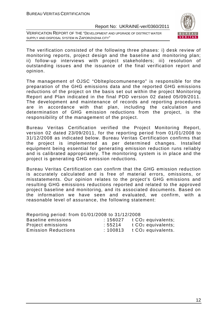VERIFICATION REPORT OF THE "DEVELOPMENT AND UPGRADE OF DISTRICT WATER SUPPLY AND DISPOSAL SYSTEM IN ZAPORIZHZHIA CITY"



The verification consisted of the following three phases: i) desk review of monitoring reports, project design and the baseline and monitoring plan; ii) follow-up interviews with project stakeholders; iii) resolution of outstanding issues and the issuance of the final verification report and opinion.

The management of OJSC "Oblteplocomunenergo" is responsible for the preparation of the GHG emissions data and the reported GHG emissions reductions of the project on the basis set out within the project Monitoring Report and Plan indicated in the final PDD version 02 dated 05/09/2011. The development and maintenance of records and reporting procedures are in accordance with that plan, including the calculation and determination of GHG emission reductions from the project, is the responsibility of the management of the project.

Bureau Veritas Certification verified the Project Monitoring Report, version 02 dated 23/09/2011, for the reporting period from 01/01/2008 to 31/12/2008 as indicated below. Bureau Veritas Certification confirms that the project is implemented as per determined changes. Installed equipment being essential for generating emission reduction runs reliably and is calibrated appropriately. The monitoring system is in place and the project is generating GHG emission reductions.

Bureau Veritas Certification can confirm that the GHG emission reduction is accurately calculated and is free of material errors, omissions, or misstatements. Our opinion relates to the project's GHG emissions and resulting GHG emissions reductions reported and related to the approved project baseline and monitoring, and its associated documents. Based on the information we have seen and evaluated, we confirm, with a reasonable level of assurance, the following statement:

| Reporting period: from 01/01/2008 to 31/12/2008 |         |                                |
|-------------------------------------------------|---------|--------------------------------|
| <b>Baseline emissions</b>                       | :156027 | t CO <sub>2</sub> equivalents; |
| Project emissions                               | :55214  | t CO <sub>2</sub> equivalents; |
| <b>Emission Reductions</b>                      | :100813 | t CO <sub>2</sub> equivalents. |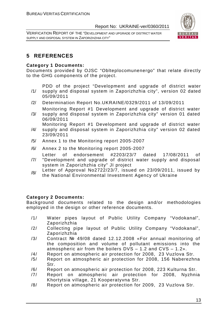VERIFICATION REPORT OF THE "DEVELOPMENT AND UPGRADE OF DISTRICT WATER SUPPLY AND DISPOSAL SYSTEM IN ZAPORIZHZHIA CITY"



# **5 REFERENCES**

### **Category 1 Documents:**

Documents provided by OJSC "Oblteplocomunenergo" that relate directly to the GHG components of the project.

PDD of the project "Development and upgrade of district water

- /1/ supply and disposal system in Zaporizhzhia city", version 02 dated 05/09/2011
- /2/ Determination Report No.UKRAINE/0329/2011 of 13/09/2011
- /3/ Monitoring Report #1 Development and upgrade of district water supply and disposal system in Zaporizhzhia city" version 01 dated 06/09/2011

Monitoring Report #1 Development and upgrade of district water

- /4/ supply and disposal system in Zaporizhzhia city" version 02 dated 23/09/2011
- /5/ Annex 1 to the Monitoring report 2005-2007
- /6/ Annex 2 to the Monitoring report 2005-2007

Letter of endorsement #2203/23/7 dated 17/08/2011 of

- /7/ "Development and upgrade of district water supply and disposal system in Zaporizhzhia city" JI project
- /8/ Letter of Approval No2722/23/7, issued on 23/09/2011, issued by the National Environmental Investment Agency of Ukraine

## **Category 2 Documents:**

Background documents related to the design and/or methodologies employed in the design or other reference documents.

- /1/ Water pipes layout of Public Utility Company "Vodokanal", Zaporizhzhia
- /2/ Collecting pipe layout of Public Utility Company "Vodokanal", Zaporizhzhia
- /3/ Contract № 49/08 dated 12.12.2008 «For annual monitoring of the composition and volume of pollutant emissions into the atmospheric air from the boilers DVS – 1.2 and CVS – 1.2».
- /4/ Report on atmospheric air protection for 2008, 23 Vuzlova Str.
- /5/ Report on atmospheric air protection for 2008, 156 Naberezhna Str.
- /6/ Report on atmospheric air protection for 2008, 223 Kulturna Str.
- /7/ Report on atmospheric air protection for 2008, Nyzhnia Khortytsia village, 21 Kooperatyvna Str.
- /8/ Report on atmospheric air protection for 2009, 23 Vuzlova Str.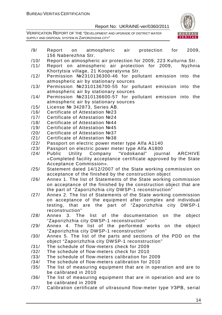

- /9/ Report on atmospheric air protection for 2009, 156 Naberezhna Str.
- /10/ Report on atmospheric air protection for 2009, 223 Kulturna Str.
- /11/ Report on atmospheric air protection for 2009, Nyzhnia Khortytsia village, 21 Kooperatyvna Str.
- /12/ Permission №2310136300-46 for pollutant emission into the atmospheric air by stationary sources
- /13/ Permission №2310136700-55 for pollutant emission into the atmospheric air by stationary sources
- /14/ Permission №2310136600-57 for pollutant emission into the atmospheric air by stationary sources
- /15/ License № 342873, Series АВ.
- /16/ Certificate of Attestation №23
- /17/ Certificate of Attestation №24
- /18/ Certificate of Attestation №44
- /19/ Certificate of Attestation №45
- /20/ Certificate of Attestation №37
- /21/ Certificate of Attestation №38
- /22/ Passport on electric power meter type Alfa A1140
- /23/ Passport on electric power meter type Alfa А1800
- /24/ Public Utility Company "Vodokanal" journal ARCHIVE «Completed facility acceptance certificate approved by the State Acceptance Commission».
- /25/ Statement dated 14/12/2007 of the State working commission on acceptance of the finished by the construction object
- /26/ Annex 1. The list of Statements of the State working commission on acceptance of the finished by the construction object that are the part of "Zaporizhzhia city DWSP-1 reconstruction"
- /27/ Annex 2. The list of Statements of the State working commission on acceptance of the equipment after complex and individual testing, that are the part of "Zaporizhzhia city DWSP-1 reconstruction"
- /28/ Annex 3. The list of the documentation on the object "Zaporizhzhia city DWSP-1 reconstruction"
- /29/ Annex 4. The list of the performed works on the object "Zaporizhzhia city DWSP-1 reconstruction"
- /30/ Annex 5. The list of the parts and sections of the PDD on the object "Zaporizhzhia city DWSP-1 reconstruction"
- /31/ The schedule of flow-meters check for 2009
- /32/ The schedule of flow-meters check for 2010
- /33/ The schedule of flow-meters calibration for 2009
- /34/ The schedule of flow-meters calibration for 2010
- /35/ The list of measuring equipment that are in operation and are to be calibrated in 2010
- /36/ The list of measuring equipment that are in operation and are to be calibrated in 2009
- /37/ Calibration certificate of ultrasound flow-meter type УЗРВ, serial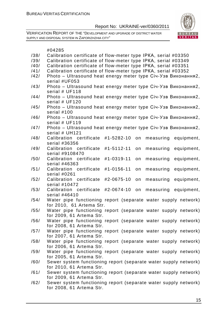

|      | #04285                                                                 |
|------|------------------------------------------------------------------------|
| /38/ | Calibration certificate of flow-meter type IPKA, serial #03350         |
| /39/ | Calibration certificate of flow-meter type IPKA, serial #03349         |
| /40/ | Calibration certificate of flow-meter type IPKA, serial #03351         |
| /41/ | Calibration certificate of flow-meter type IPKA, serial #03352         |
| /42/ | Photo - Ultrasound heat energy meter type Січ-Узв Виконання2,          |
|      | serial #UF053                                                          |
| /43/ | Photo - Ultrasound heat energy meter type Січ-Узв Виконання2,          |
|      | serial # UF118                                                         |
| /44/ | Photo - Ultrasound heat energy meter type Ciu-Y3B Виконання2,          |
|      | serial # UF120                                                         |
| /45/ | Photo - Ultrasound heat energy meter type Ciu-Y3B Виконання2,          |
|      | serial #100                                                            |
| /46/ | Photo - Ultrasound heat energy meter type Січ-Узв Виконання2,          |
|      | serial # UF119                                                         |
| /47/ | Photo - Ultrasound heat energy meter type Ciu-Y3B Виконання2,          |
|      | serial # UH121                                                         |
| /48/ | Calibration certificate<br>#1-5282-10<br>measuring<br>on<br>equipment, |
|      | serial #36356                                                          |
| /49/ | Calibration certificate<br>#1-5112-11<br>measuring<br>equipment,<br>on |
|      | serial #9108470                                                        |
| /50/ | #1-0319-11<br>Calibration certificate<br>on<br>measuring<br>equipment, |
|      | serial #46363                                                          |
| /51/ | #1-0156-11<br>Calibration certificate<br>on<br>measuring<br>equipment, |
|      | serial #0261                                                           |
| /52/ | Calibration certificate<br>#2-0675-10<br>equipment,<br>measuring<br>on |
|      | serial #10472                                                          |
| /53/ | Calibration certificate<br>#2-0674-10<br>on<br>measuring equipment,    |
|      | serial #46410                                                          |
| /54/ | Water pipe functioning report (separate water supply network)          |
|      | for 2010, 61 Artema Str.                                               |
| /55/ | Water pipe functioning report (separate water supply network)          |
|      | for 2009, 61 Artema Str.                                               |
| /56/ | Water pipe functioning report (separate water supply network)          |
|      | for 2008, 61 Artema Str.                                               |
| /57/ | Water pipe functioning report (separate water supply network)          |
|      | for 2007, 61 Artema Str.                                               |
| /58/ | Water pipe functioning report (separate water supply network)          |
|      | for 2006, 61 Artema Str.                                               |
| /59/ | Water pipe functioning report (separate water supply network)          |
|      | for 2005, 61 Artema Str.                                               |
| /60/ | Sewer system functioning report (separate water supply network)        |
|      | for 2010, 61 Artema Str.                                               |

- /61/ Sewer system functioning report (separate water supply network) for 2009, 61 Artema Str.
- /62/ Sewer system functioning report (separate water supply network) for 2008, 61 Artema Str.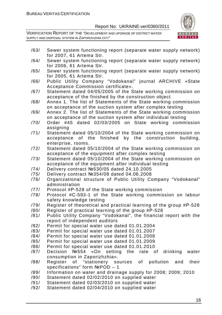

- /63/ Sewer system functioning report (separate water supply network) for 2007, 61 Artema Str.
- /64/ Sewer system functioning report (separate water supply network) for 2006, 61 Artema Str.
- /65/ Sewer system functioning report (separate water supply network) for 2005, 61 Artema Str.
- /66/ Public Utility Company "Vodokanal" journal ARCHIVE «State Acceptance Commission certificate».
- /67/ Statement dated 04/05/2005 of the State working commission on acceptance of the finished by the construction object
- /68/ Annex 1. The list of Statements of the State working commission on acceptance of the suction system after complex testing
- /69/ Annex 2. The list of Statements of the State working commission on acceptance of the suction system after individual testing
- /70/ Order #45 dated 02/03/2005 on State working commission assigning
- /71/ Statement dated 05/10/2004 of the State working commission on acceptance of the finished by the construction building, enterprise, rooms.
- /72/ Statement dated 05/10/2004 of the State working commission on acceptance of the equipment after complex testing
- /73/ Statement dated 05/10/2004 of the State working commission on acceptance of the equipment after individual testing
- /74/ Delivery contract №530/05 dated 24.10.2005
- /75/ Delivery contract №354/08 dated 04.06.2008
- /76/ Organizational structure of Public Utility Company "Vodokanal" administration
- /77/ Protocol #Р-528 of the State working commission
- /78/ Protocol #С-593-1 of the State working commission on labour safety knowledge testing
- /79/ Register of theoretical and practical learning of the group #Р-528
- /80/ Register of practical learning of the group #Р-528
- /81/ Public Utility Company "Vodokanal", the financial report with the report of independent auditors
- /82/ Permit for special water use dated 01.01.2004
- /83/ Permit for special water use dated 01.01.2007
- /84/ Permit for special water use dated 01.01.2008
- /85/ Permit for special water use dated 01.01.2009
- /86/ Permit for special water use dated 01.01.2010
- /87/ Decision №554 «On setting the rate of drinking water consumption in Zaporizhzhia».
- /88/ Register of "stationery sources of pollution and their specifications" form NºPOD - 1
- /89/ Information on water and drainage supply for 2008; 2009; 2010
- /90/ Statement dated 02/02/2010 on supplied water
- /91/ Statement dated 02/03/2010 on supplied water
- /92/ Statement dated 02/04/2010 on supplied water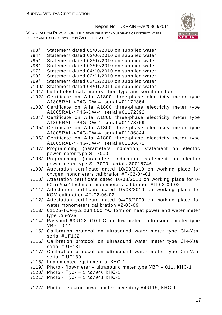VERIFICATION REPORT OF THE "DEVELOPMENT AND UPGRADE OF DISTRICT WATER SUPPLY AND DISPOSAL SYSTEM IN ZAPORIZHZHIA CITY"



/93/ Statement dated 05/05/2010 on supplied water /94/ Statement dated 02/06/2010 on supplied water /95/ Statement dated 02/07/2010 on supplied water /96/ Statement dated 03/09/2010 on supplied water /97/ Statement dated 04/10/2010 on supplied water /98/ Statement dated 02/11/2010 on supplied water /99/ Statement dated 02/12/2010 on supplied water /100/ Statement dated 04/01/2011 on supplied water /101/ List of electricity meters, their type and serial number /102/ Certificate on Alfa A1800 three-phase electricity meter type А1805RAL-4P4G-DW-4, serial #01172364 /103/ Certificate on Alfa A1800 three-phase electricity meter type А1805RAL-4P4G-DW-4, serial #01172392 /104/ Certificate on Alfa A1800 three-phase electricity meter type А1805RAL-4P4G-DW-4, serial #01173769 /105/ Certificate on Alfa A1800 three-phase electricity meter type А1805RAL-4P4G-DW-4, serial #01186844 /106/ Certificate on Alfa A1800 three-phase electricity meter type А1805RAL-4P4G-DW-4, serial #01186872 /107/ Programming (parameters indication) statement on electric power meter type SL 7000 /108/ Programming (parameters indication) statement on electric power meter type SL 7000, serial #30018746 /109/ Attestation certificate dated 10/08/2010 on working place for oxygen monometers calibration #П-02-04-01 /110/ Attestation certificate dated 10/08/2010 on working place for 0- 60кгс/см2 technical monometers calibration #П-02-04-02 /111/ Attestation certificate dated 10/08/2010 on working place for КСМ calibration #П-02-06-02 /112/ Attestation certificate dated 04/03/2009 on working place for water monometers calibration #2-03-09 /113/ 61125-ТСЧ-у.2.234.000 ФО form on heat power and water meter type Січ-Узв /114/ Passport 636128.010 ПС on flow-meter – ultrasound meter type УВР – 011 /115/ Calibration protocol on ultrasound water meter type Січ-Узв, serial #UF132 /116/ Calibration protocol on ultrasound water meter type Січ-Узв, serial # UF131 /117/ Calibration protocol on ultrasound water meter type Січ-Узв, serial # UF130 /118/ Implemented equipment at КНС-1 /119/ Photo - flow-meter – ultrasound meter type УВР – 011. КНС-1 /120/ Photo - Пуск – 1 №7940 КНС-1 /121/ Photo - Пуск – 1 №7941 КНС-1 /122/ Photo – electric power meter, inventory #46115, КНС-1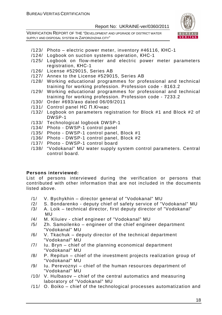VERIFICATION REPORT OF THE "DEVELOPMENT AND UPGRADE OF DISTRICT WATER SUPPLY AND DISPOSAL SYSTEM IN ZAPORIZHZHIA CITY"



- /123/ Photo electric power meter, inventory #46116, КНС-1
- /124/ Logbook on suction systems operation, КНС-1
- /125/ Logbook on flow-meter and electric power meter parameters registration, КНС-1
- /126/ License #529015, Series AB
- /127/ Annex to the License #529015, Series AB
- /128/ Working educational programmes for professional and technical training for working profession. Profession code - 8163.2
- /129/ Working educational programmes for professional and technical training for working profession. Profession code - 7233.2
- /130/ Order #693/ахо dated 06/09/2011
- /131/ Control panel НС П.Кічкас
- /132/ Logbook on parameters registration for Block #1 and Block #2 of DWSP-1
- /133/ Technological logbook DWSP-1
- /134/ Photo DWSP-1 control panel
- /135/ Photo DWSP-1 control panel, Block #1
- /136/ Photo DWSP-1 control panel, Block #2
- /137/ Photo DWSP-1 control board
- /138/ "Vodokanal" MU water supply system control parameters. Central control board.

#### **Persons interviewed:**

List of persons interviewed during the verification or persons that contributed with other information that are not included in the documents listed above.

- /1/ V. Bychykhin director general of "Vodokanal" MU
- /2/ S. Bondarenko deputy chief of safety service of "Vodokanal" MU
- /3/ A. Loik technical director, first deputy director of "Vodokanal" MU
- /4/ M. Kliuiev chief engineer of "Vodokanal" MU
- /5/ Zh. Samoilenko engineer of the chief engineer department "Vodokanal" MU
- /6/ V. Tkachuk deputy director of the technical department "Vodokanal" MU
- /7/ Iu. Bryn chief of the planning economical department "Vodokanal" MU
- /8/ P. Repitun chief of the investment projects realization group of "Vodokanal" MU
- /9/ Iu. Perevoznyi chief of the human resources department of "Vodokanal" MU
- /10/ V. Hulbasov chief of the central automatics and measuring laboratory of "Vodokanal" MU
- /11/ O. Boiko chief of the technological processes automatization and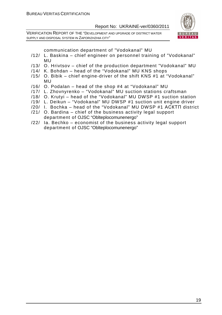VERIFICATION REPORT OF THE "DEVELOPMENT AND UPGRADE OF DISTRICT WATER SUPPLY AND DISPOSAL SYSTEM IN ZAPORIZHZHIA CITY"



communication department of "Vodokanal" MU

- /12/ L. Baskina chief engineer on personnel training of "Vodokanal" MU
- /13/ O. Hrivtsov chief of the production department "Vodokanal" MU
- /14/ K. Bohdan head of the "Vodokanal" MU KNS shops
- /15/ O. Bibik chief engine-driver of the shift KNS #1 at "Vodokanal" MU
- /16/ O. Podalan head of the shop #4 at "Vodokanal" MU
- /17/ L. Zhovnyrenko "Vodokanal" MU suction stations craftsman
- /18/ O. Krutyi head of the "Vodokanal" MU DWSP #1 suction station
- /19/ L. Deikun "Vodokanal" MU DWSP #1 suction unit engine driver
- /20/ I. Bochka head of the "Vodokanal" MU DWSP #1 АСКТП district
- /21/ O. Bardina chief of the business activity legal support department of OJSC "Oblteplocomunenergo"
- /22/ Ia. Bechko economist of the business activity legal support department of OJSC "Oblteplocomunenergo"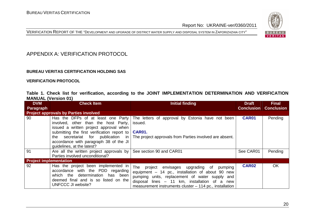



# APPENDIX A: VERIFICATION PROTOCOL

#### **BUREAU VERITAS CERTIFICATION HOLDING SAS**

**VERIFICATION PROTOCOL** 

|                            | Table 1. Check list for verification, according to the JOINT IMPLEMENTATION DETERMINATION AND VERIFICATION |  |  |  |  |  |  |
|----------------------------|------------------------------------------------------------------------------------------------------------|--|--|--|--|--|--|
| <b>MANUAL (Version 01)</b> |                                                                                                            |  |  |  |  |  |  |

| <b>DVM</b>                    | <b>Check Item</b>                                                                                                                                                                                                                                                                      | Initial finding                                                                                                                                                                                                                                                    | <b>Draft</b>      | <b>Final</b>      |
|-------------------------------|----------------------------------------------------------------------------------------------------------------------------------------------------------------------------------------------------------------------------------------------------------------------------------------|--------------------------------------------------------------------------------------------------------------------------------------------------------------------------------------------------------------------------------------------------------------------|-------------------|-------------------|
| Paragraph                     |                                                                                                                                                                                                                                                                                        |                                                                                                                                                                                                                                                                    | <b>Conclusion</b> | <b>Conclusion</b> |
|                               | <b>Project approvals by Parties involved</b>                                                                                                                                                                                                                                           |                                                                                                                                                                                                                                                                    |                   |                   |
| 90                            | Has the DFPs of at least one Party<br>involved, other than the host Party,<br>issued a written project approval when<br>submitting the first verification report to  <br>secretariat for publication in<br>the<br>accordance with paragraph 38 of the JI<br>quidelines, at the latest? | The letters of approval by Estonia have not been<br>issued.<br><b>CAR01.</b><br>The project approvals from Parties involved are absent.                                                                                                                            | <b>CAR01</b>      | Pending           |
| 91                            | Are all the written project approvals by<br>Parties involved unconditional?                                                                                                                                                                                                            | See section 90 and CAR01                                                                                                                                                                                                                                           | See CAR01         | Pending           |
| <b>Project implementation</b> |                                                                                                                                                                                                                                                                                        |                                                                                                                                                                                                                                                                    |                   |                   |
| 92                            | Has the project been implemented in<br>accordance with the PDD regarding<br>which the determination has been<br>deemed final and is so listed on the<br>UNFCCC JI website?                                                                                                             | The project<br>envisages upgrading of<br>pumping<br>equipment - 14 pc., installation of about 90 new<br>pumping units, replacement of water supply and<br>disposal lines - 11 km, installation of a new<br>measurement instruments cluster – 114 pc., installation | <b>CAR02</b>      | <b>OK</b>         |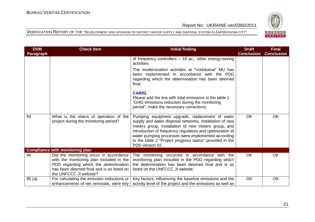

| <b>DVM</b> | <b>Check Item</b>                                                                                                                                                                                  | <b>Initial finding</b>                                                                                                                                                                                                                                                                                                                                             | <b>Draft</b>      | <b>Final</b>      |
|------------|----------------------------------------------------------------------------------------------------------------------------------------------------------------------------------------------------|--------------------------------------------------------------------------------------------------------------------------------------------------------------------------------------------------------------------------------------------------------------------------------------------------------------------------------------------------------------------|-------------------|-------------------|
| Paragraph  |                                                                                                                                                                                                    |                                                                                                                                                                                                                                                                                                                                                                    | <b>Conclusion</b> | <b>Conclusion</b> |
|            |                                                                                                                                                                                                    | of frequency controllers - 18 pc., other energy-saving<br>activities.                                                                                                                                                                                                                                                                                              |                   |                   |
|            |                                                                                                                                                                                                    | The modernization activities at "Vodokanal" MU has<br>been implemented in accordance with the PDD<br>regarding which the determination has been deemed<br>final.                                                                                                                                                                                                   |                   |                   |
|            |                                                                                                                                                                                                    | <b>CAR02.</b><br>Please add the line with total emissions in the table 1<br>"GHG emissions reduction during the monitoring<br>period", make the necessary corrections.                                                                                                                                                                                             |                   |                   |
| 93         | What is the status of operation of the<br>project during the monitoring period?                                                                                                                    | Pumping equipment upgrade, replacement of water<br>supply and water disposal networks, installation of new<br>meters group, installation of new meters group, and<br>introduction of frequency regulators and optimization of<br>water pumping processes were implemented according<br>to the table 2 "Project progress status" provided in the<br>PDD version 02. | <b>OK</b>         | OK                |
|            | <b>Compliance with monitoring plan</b>                                                                                                                                                             |                                                                                                                                                                                                                                                                                                                                                                    |                   |                   |
| 94         | Did the monitoring occur in accordance<br>with the monitoring plan included in the<br>PDD regarding which the determination<br>has been deemed final and is so listed on<br>the UNFCCC JI website? | The monitoring occurred in accordance with the<br>monitoring plan included in the PDD regarding which<br>the determination has been deemed final and is so<br>listed on the UNFCCC JI website.                                                                                                                                                                     | <b>OK</b>         | OK                |
| 95(a)      | For calculating the emission reductions or<br>enhancements of net removals, were key                                                                                                               | Key factors, influencing the baseline emissions and the<br>activity level of the project and the emissions as well as                                                                                                                                                                                                                                              | <b>OK</b>         | <b>OK</b>         |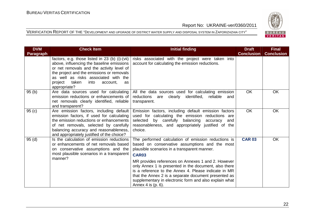

| <b>DVM</b> | <b>Check Item</b>                                                                                                                                                                                                                                                                                  | <b>Initial finding</b>                                                                                                                                                                                                                                                                                         | <b>Draft</b>      | <b>Final</b>      |
|------------|----------------------------------------------------------------------------------------------------------------------------------------------------------------------------------------------------------------------------------------------------------------------------------------------------|----------------------------------------------------------------------------------------------------------------------------------------------------------------------------------------------------------------------------------------------------------------------------------------------------------------|-------------------|-------------------|
| Paragraph  |                                                                                                                                                                                                                                                                                                    |                                                                                                                                                                                                                                                                                                                | <b>Conclusion</b> | <b>Conclusion</b> |
|            | factors, e.g. those listed in 23 (b) (i)-(vii)<br>above, influencing the baseline emissions<br>or net removals and the activity level of<br>the project and the emissions or removals<br>as well as risks associated with the<br>taken<br>project<br>into<br>account,<br><b>as</b><br>appropriate? | risks associated with the project were taken into<br>account for calculating the emission reductions.                                                                                                                                                                                                          |                   |                   |
| 95(b)      | Are data sources used for calculating<br>emission reductions or enhancements of<br>net removals clearly identified, reliable<br>and transparent?                                                                                                                                                   | All the data sources used for calculating emission<br>reductions are clearly<br>identified,<br>reliable<br>and<br>transparent.                                                                                                                                                                                 | <b>OK</b>         | OK                |
| 95(c)      | Are emission factors, including default<br>emission factors, if used for calculating<br>the emission reductions or enhancements<br>of net removals, selected by carefully<br>balancing accuracy and reasonableness,<br>and appropriately justified of the choice?                                  | Emission factors, including default emission factors<br>used for calculating the emission reductions are<br>selected by carefully balancing<br>accuracy<br>and<br>reasonableness, and appropriately justified of the<br>choice.                                                                                | <b>OK</b>         | OK                |
| 95(d)      | Is the calculation of emission reductions<br>or enhancements of net removals based<br>on conservative assumptions and the<br>most plausible scenarios in a transparent<br>manner?                                                                                                                  | The performed calculation of emission reductions is<br>based on conservative assumptions and the most<br>plausible scenarios in a transparent manner.<br><b>CAR03</b>                                                                                                                                          | <b>CAR 03</b>     | <b>OK</b>         |
|            |                                                                                                                                                                                                                                                                                                    | MR provides references on Annexes 1 and 2. However<br>only Annex 1 is presented in the document, also there<br>is a reference to the Annex 4. Please indicate in MR<br>that the Annex 2 is a separate document presented as<br>supplementary in electronic form and also explain what<br>Annex 4 is $(p. 6)$ . |                   |                   |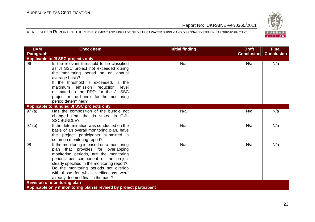

| <b>DVM</b> | <b>Check Item</b>                                                                                                                                                                                                                                                                                                                          | <b>Initial finding</b> | <b>Draft</b>      | <b>Final</b>      |
|------------|--------------------------------------------------------------------------------------------------------------------------------------------------------------------------------------------------------------------------------------------------------------------------------------------------------------------------------------------|------------------------|-------------------|-------------------|
| Paragraph  |                                                                                                                                                                                                                                                                                                                                            |                        | <b>Conclusion</b> | <b>Conclusion</b> |
|            | Applicable to JI SSC projects only                                                                                                                                                                                                                                                                                                         |                        |                   |                   |
| 96         | Is the relevant threshold to be classified<br>as JI SSC project not exceeded during<br>the monitoring period on an annual<br>average basis?                                                                                                                                                                                                | N/a                    | N/a               | N/a               |
|            | If the threshold is exceeded, is the<br>reduction level<br>maximum emission<br>estimated in the PDD for the JI SSC<br>project or the bundle for the monitoring<br>period determined?                                                                                                                                                       |                        |                   |                   |
|            | Applicable to bundled JI SSC projects only                                                                                                                                                                                                                                                                                                 |                        |                   |                   |
| 97(a)      | Has the composition of the bundle not<br>changed from that is stated in F-JI-<br><b>SSCBUNDLE?</b>                                                                                                                                                                                                                                         | N/a                    | N/a               | N/a               |
| 97(b)      | If the determination was conducted on the<br>basis of an overall monitoring plan, have<br>the project participants submitted a<br>common monitoring report?                                                                                                                                                                                | N/a                    | N/a               | N/a               |
| 98         | If the monitoring is based on a monitoring<br>plan that provides for overlapping<br>monitoring periods, are the monitoring<br>periods per component of the project<br>clearly specified in the monitoring report?<br>Do the monitoring periods not overlap<br>with those for which verifications were<br>already deemed final in the past? | N/a                    | N/a               | N/a               |
|            | <b>Revision of monitoring plan</b>                                                                                                                                                                                                                                                                                                         |                        |                   |                   |
|            | Applicable only if monitoring plan is revised by project participant                                                                                                                                                                                                                                                                       |                        |                   |                   |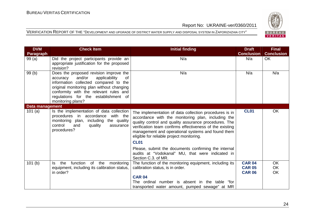

| <b>DVM</b>      | <b>Check Item</b>                                                                                                                                                                                                                                                                | <b>Initial finding</b>                                                                                                                                                                                                                                                                                                                                                                                     | <b>Draft</b>                                    | <b>Final</b>          |
|-----------------|----------------------------------------------------------------------------------------------------------------------------------------------------------------------------------------------------------------------------------------------------------------------------------|------------------------------------------------------------------------------------------------------------------------------------------------------------------------------------------------------------------------------------------------------------------------------------------------------------------------------------------------------------------------------------------------------------|-------------------------------------------------|-----------------------|
| Paragraph       |                                                                                                                                                                                                                                                                                  |                                                                                                                                                                                                                                                                                                                                                                                                            | <b>Conclusion</b>                               | <b>Conclusion</b>     |
| 99(a)           | Did the project participants provide an<br>appropriate justification for the proposed<br>revision?                                                                                                                                                                               | N/a                                                                                                                                                                                                                                                                                                                                                                                                        | N/a                                             | <b>OK</b>             |
| 99(b)           | Does the proposed revision improve the<br>and/or<br>applicability<br>accuracy<br>of<br>information collected compared to the<br>original monitoring plan without changing<br>conformity with the relevant rules and<br>regulations for the establishment of<br>monitoring plans? | N/a                                                                                                                                                                                                                                                                                                                                                                                                        | N/a                                             | N/a                   |
| Data management |                                                                                                                                                                                                                                                                                  |                                                                                                                                                                                                                                                                                                                                                                                                            |                                                 |                       |
| 101 $(a)$       | Is the implementation of data collection<br>procedures in accordance with the<br>monitoring plan, including the quality<br>control<br>and<br>quality<br>assurance<br>procedures?                                                                                                 | The implementation of data collection procedures is in<br>accordance with the monitoring plan, including the<br>quality control and quality assurance procedures. The<br>verification team confirms effectiveness of the existing<br>management and operational systems and found them<br>eligible for reliable project monitoring.<br><b>CL01</b><br>Please, submit the documents confirming the internal | <b>CL01</b>                                     | OK                    |
|                 |                                                                                                                                                                                                                                                                                  | audits at "Vodokanal" MU, that were indicated in<br>Section C.3. of MR.                                                                                                                                                                                                                                                                                                                                    |                                                 |                       |
| 101(b)          | function<br>of the<br>the<br>monitoring<br>Is.<br>equipment, including its calibration status,<br>in order?                                                                                                                                                                      | The function of the monitoring equipment, including its<br>calibration status, is in order.                                                                                                                                                                                                                                                                                                                | <b>CAR 04</b><br><b>CAR 05</b><br><b>CAR 06</b> | <b>OK</b><br>OK<br>OK |
|                 |                                                                                                                                                                                                                                                                                  | <b>CAR 04</b><br>The ordinal number is absent in the table "for<br>transported water amount, pumped sewage" at MR                                                                                                                                                                                                                                                                                          |                                                 |                       |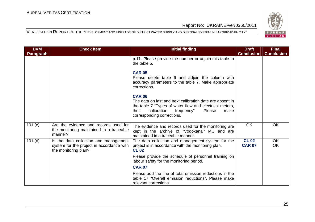

| <b>DVM</b> | <b>Check Item</b>                                                                                          | <b>Initial finding</b>                                                                                                                                                                                                      | <b>Draft</b>                  | <b>Final</b>           |
|------------|------------------------------------------------------------------------------------------------------------|-----------------------------------------------------------------------------------------------------------------------------------------------------------------------------------------------------------------------------|-------------------------------|------------------------|
| Paragraph  |                                                                                                            |                                                                                                                                                                                                                             | <b>Conclusion</b>             | <b>Conclusion</b>      |
|            |                                                                                                            | p.11. Please provide the number or adjoin this table to<br>the table 5.                                                                                                                                                     |                               |                        |
|            |                                                                                                            | <b>CAR 05</b><br>Please delete table 6 and adjoin the column with<br>accuracy parameters to the table 7. Make appropriate<br>corrections.                                                                                   |                               |                        |
|            |                                                                                                            | <b>CAR 06</b><br>The data on last and next calibration date are absent in<br>the table 7 "Types of water flow and electrical meters,<br>calibration<br>Please<br>frequency".<br>their<br>make<br>corresponding corrections. |                               |                        |
| 101 (c)    | Are the evidence and records used for<br>the monitoring maintained in a traceable<br>manner?               | The evidence and records used for the monitoring are<br>kept in the archive of "Vodokanal" MU and are<br>maintained in a traceable manner.                                                                                  | <b>OK</b>                     | <b>OK</b>              |
| $101$ (d)  | Is the data collection and management<br>system for the project in accordance with<br>the monitoring plan? | The data collection and management system for the<br>project is in accordance with the monitoring plan.<br><b>CL 02</b>                                                                                                     | <b>CL 02</b><br><b>CAR 07</b> | <b>OK</b><br><b>OK</b> |
|            |                                                                                                            | Please provide the schedule of personnel training on<br>labour safety for the monitoring period.                                                                                                                            |                               |                        |
|            |                                                                                                            | <b>CAR 07</b>                                                                                                                                                                                                               |                               |                        |
|            |                                                                                                            | Please add the line of total emission reductions in the<br>table 17 "Overall emission reductions". Please make<br>relevant corrections.                                                                                     |                               |                        |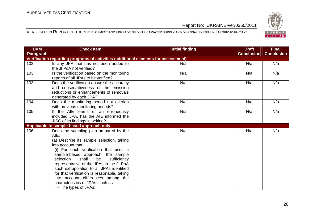

| <b>DVM</b> | <b>Check Item</b>                                                                                                                                                                                                                                                                                                                                                                                                                                                                      | <b>Initial finding</b> | <b>Draft</b>      | <b>Final</b>      |
|------------|----------------------------------------------------------------------------------------------------------------------------------------------------------------------------------------------------------------------------------------------------------------------------------------------------------------------------------------------------------------------------------------------------------------------------------------------------------------------------------------|------------------------|-------------------|-------------------|
| Paragraph  |                                                                                                                                                                                                                                                                                                                                                                                                                                                                                        |                        | <b>Conclusion</b> | <b>Conclusion</b> |
|            | Verification regarding programs of activities (additional elements for assessment)                                                                                                                                                                                                                                                                                                                                                                                                     |                        |                   |                   |
| 102        | Is any JPA that has not been added to<br>the JI PoA not verified?                                                                                                                                                                                                                                                                                                                                                                                                                      | N/a                    | N/a               | N/a               |
| 103        | Is the verification based on the monitoring<br>reports of all JPAs to be verified?                                                                                                                                                                                                                                                                                                                                                                                                     | N/a                    | N/a               | N/a               |
| 103        | Does the verification ensure the accuracy<br>and conservativeness of the emission<br>reductions or enhancements of removals<br>generated by each JPA?                                                                                                                                                                                                                                                                                                                                  | N/a                    | N/a               | N/a               |
| 104        | Does the monitoring period not overlap<br>with previous monitoring periods?                                                                                                                                                                                                                                                                                                                                                                                                            | N/a                    | N/a               | N/a               |
| 105        | If the AIE learns of an erroneously<br>included JPA, has the AIE informed the<br>JISC of its findings in writing?                                                                                                                                                                                                                                                                                                                                                                      | N/a                    | N/a               | N/a               |
|            | Applicable to sample-based approach only                                                                                                                                                                                                                                                                                                                                                                                                                                               |                        |                   |                   |
| 106        | Does the sampling plan prepared by the<br>AIE:<br>(a) Describe its sample selection, taking<br>into account that:<br>(i) For each verification that uses a<br>sample-based approach, the sample<br>shall<br>selection<br>be<br>sufficiently<br>representative of the JPAs in the JI PoA<br>such extrapolation to all JPAs identified<br>for that verification is reasonable, taking<br>into account differences among the<br>characteristics of JPAs, such as:<br>- The types of JPAs; | N/a                    | N/a               | N/a               |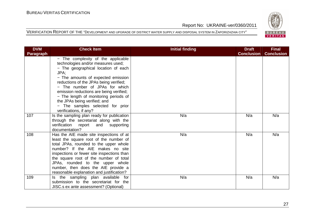

| <b>DVM</b>       | <b>Check Item</b>                                                    | <b>Initial finding</b> | <b>Draft</b>      | <b>Final</b>      |
|------------------|----------------------------------------------------------------------|------------------------|-------------------|-------------------|
| <b>Paragraph</b> |                                                                      |                        | <b>Conclusion</b> | <b>Conclusion</b> |
|                  | - The complexity of the applicable                                   |                        |                   |                   |
|                  | technologies and/or measures used;                                   |                        |                   |                   |
|                  | - The geographical location of each                                  |                        |                   |                   |
|                  | JPA;                                                                 |                        |                   |                   |
|                  | - The amounts of expected emission                                   |                        |                   |                   |
|                  | reductions of the JPAs being verified;                               |                        |                   |                   |
|                  | - The number of JPAs for which                                       |                        |                   |                   |
|                  | emission reductions are being verified;                              |                        |                   |                   |
|                  | - The length of monitoring periods of                                |                        |                   |                   |
|                  | the JPAs being verified; and                                         |                        |                   |                   |
|                  | - The samples selected for prior                                     |                        |                   |                   |
| 107              | verifications, if any?                                               | N/a                    | N/a               |                   |
|                  | Is the sampling plan ready for publication                           |                        |                   | N/a               |
|                  | through the secretariat along with the<br>verification report<br>and |                        |                   |                   |
|                  | supporting<br>documentation?                                         |                        |                   |                   |
| 108              | Has the AIE made site inspections of at                              | N/a                    | N/a               | N/a               |
|                  | least the square root of the number of                               |                        |                   |                   |
|                  | total JPAs, rounded to the upper whole                               |                        |                   |                   |
|                  | number? If the AIE makes no site                                     |                        |                   |                   |
|                  | inspections or fewer site inspections than                           |                        |                   |                   |
|                  | the square root of the number of total                               |                        |                   |                   |
|                  | JPAs, rounded to the upper whole                                     |                        |                   |                   |
|                  | number, then does the AIE provide a                                  |                        |                   |                   |
|                  | reasonable explanation and justification?                            |                        |                   |                   |
| 109              | Is the sampling plan available<br>for                                | N/a                    | N/a               | N/a               |
|                  | submission to the secretariat for the                                |                        |                   |                   |
|                  | JISC.s ex ante assessment? (Optional)                                |                        |                   |                   |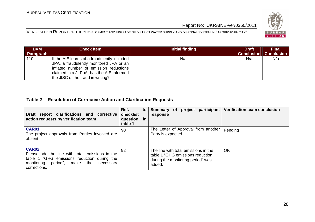

VERIFICATION REPORT OF THE "DEVELOPMENT AND UPGRADE OF DISTRICT WATER SUPPLY AND DISPOSAL SYSTEM IN ZAPORIZHZHIA CITY"

| <b>DVM</b> | <b>Check Item</b>                                                                                                                                                                                                     | Initial finding | <b>Draft</b>      | <b>Final</b>      |
|------------|-----------------------------------------------------------------------------------------------------------------------------------------------------------------------------------------------------------------------|-----------------|-------------------|-------------------|
| Paragraph  |                                                                                                                                                                                                                       |                 | <b>Conclusion</b> | <b>Conclusion</b> |
| 110        | If the AIE learns of a fraudulently included<br>JPA, a fraudulently monitored JPA or an  <br>inflated number of emission reductions<br>claimed in a JI PoA, has the AIE informed<br>the JISC of the fraud in writing? | N/a             | N/a               | N/a               |

#### **Table 2 Resolution of Corrective Action and Clarification Requests**

| report clarifications and corrective<br><b>Draft</b><br>action requests by verification team                                                                                      | Ref.<br>$\mathsf{to}$<br>checklist<br>question<br>in<br>table 1 | participant<br>Summary of<br>project<br>response                                                                        | Verification team conclusion |
|-----------------------------------------------------------------------------------------------------------------------------------------------------------------------------------|-----------------------------------------------------------------|-------------------------------------------------------------------------------------------------------------------------|------------------------------|
| <b>CAR01</b><br>The project approvals from Parties involved are<br>absent.                                                                                                        | 90                                                              | The Letter of Approval from another<br>Party is expected.                                                               | Pending                      |
| <b>CAR02</b><br>Please add the line with total emissions in the<br>table 1 "GHG emissions reduction during the<br>monitoring period",<br>make<br>the<br>necessary<br>corrections. | 92                                                              | The line with total emissions in the<br>table 1 "GHG emissions reduction<br>during the monitoring period" was<br>added. | <b>OK</b>                    |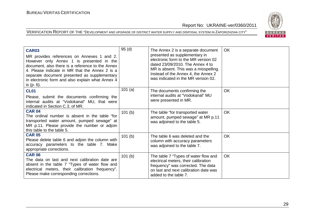

| <b>CAR03</b><br>MR provides references on Annexes 1 and 2.<br>However only Annex 1 is presented in the<br>document, also there is a reference to the Annex<br>4. Please indicate in MR that the Annex 2 is a<br>separate document presented as supplementary<br>in electronic form and also explain what Annex 4<br>is (p. 6). | 95(d)  | The Annex 2 is a separate document<br>presented as supplementary in<br>electronic form to the MR version 02<br>dated 23/09/2010. The Annex 4 to<br>MR is absent. This was a misspelling.<br>Instead of the Annex 4, the Annex 2<br>was indicated in the MR version 02. | <b>OK</b> |
|--------------------------------------------------------------------------------------------------------------------------------------------------------------------------------------------------------------------------------------------------------------------------------------------------------------------------------|--------|------------------------------------------------------------------------------------------------------------------------------------------------------------------------------------------------------------------------------------------------------------------------|-----------|
| <b>CL01</b><br>Please, submit the documents confirming the<br>internal audits at "Vodokanal" MU, that were<br>indicated in Section C.3. of MR.                                                                                                                                                                                 | 101(a) | The documents confirming the<br>internal audits at "Vodokanal" MU<br>were presented in MR.                                                                                                                                                                             | <b>OK</b> |
| <b>CAR 04</b><br>The ordinal number is absent in the table "for<br>transported water amount, pumped sewage" at<br>MR p.11. Please provide the number or adjoin<br>this table to the table 5.                                                                                                                                   | 101(b) | The table "for transported water<br>amount, pumped sewage" at MR p.11<br>was adjoined to the table 5.                                                                                                                                                                  | <b>OK</b> |
| <b>CAR 05</b><br>Please delete table 6 and adjoin the column with<br>accuracy parameters to the table 7. Make<br>appropriate corrections.                                                                                                                                                                                      | 101(b) | The table 6 was deleted and the<br>column with accuracy parameters<br>was adjoined to the table 7.                                                                                                                                                                     | <b>OK</b> |
| <b>CAR 06</b><br>The data on last and next calibration date are<br>absent in the table 7 "Types of water flow and<br>electrical meters, their calibration frequency".<br>Please make corresponding corrections.                                                                                                                | 101(b) | The table 7 "Types of water flow and<br>electrical meters, their calibration<br>frequency" was corrected. The data<br>on last and next calibration date was<br>added to the table 7.                                                                                   | <b>OK</b> |